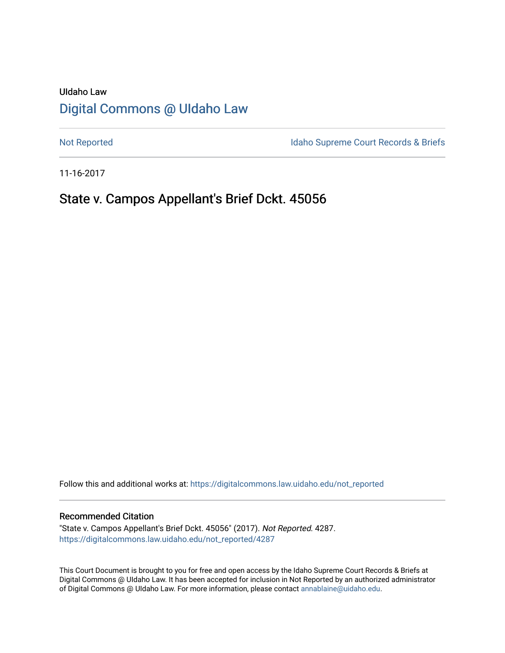# UIdaho Law [Digital Commons @ UIdaho Law](https://digitalcommons.law.uidaho.edu/)

[Not Reported](https://digitalcommons.law.uidaho.edu/not_reported) **Idaho Supreme Court Records & Briefs** 

11-16-2017

# State v. Campos Appellant's Brief Dckt. 45056

Follow this and additional works at: [https://digitalcommons.law.uidaho.edu/not\\_reported](https://digitalcommons.law.uidaho.edu/not_reported?utm_source=digitalcommons.law.uidaho.edu%2Fnot_reported%2F4287&utm_medium=PDF&utm_campaign=PDFCoverPages) 

#### Recommended Citation

"State v. Campos Appellant's Brief Dckt. 45056" (2017). Not Reported. 4287. [https://digitalcommons.law.uidaho.edu/not\\_reported/4287](https://digitalcommons.law.uidaho.edu/not_reported/4287?utm_source=digitalcommons.law.uidaho.edu%2Fnot_reported%2F4287&utm_medium=PDF&utm_campaign=PDFCoverPages)

This Court Document is brought to you for free and open access by the Idaho Supreme Court Records & Briefs at Digital Commons @ UIdaho Law. It has been accepted for inclusion in Not Reported by an authorized administrator of Digital Commons @ UIdaho Law. For more information, please contact [annablaine@uidaho.edu](mailto:annablaine@uidaho.edu).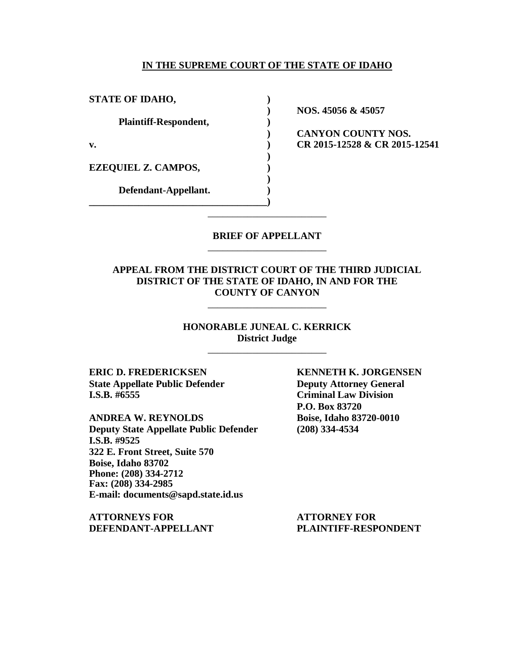### **IN THE SUPREME COURT OF THE STATE OF IDAHO**

**STATE OF IDAHO, ) Plaintiff-Respondent, ) EZEQUIEL Z. CAMPOS, ) Defendant-Appellant. )**

**\_\_\_\_\_\_\_\_\_\_\_\_\_\_\_\_\_\_\_\_\_\_\_\_\_\_\_\_\_\_\_\_\_\_\_\_)**

**) NOS. 45056 & 45057**

**) CANYON COUNTY NOS. v. ) CR 2015-12528 & CR 2015-12541**

### **BRIEF OF APPELLANT** \_\_\_\_\_\_\_\_\_\_\_\_\_\_\_\_\_\_\_\_\_\_\_\_

\_\_\_\_\_\_\_\_\_\_\_\_\_\_\_\_\_\_\_\_\_\_\_\_

**)**

**)**

### **APPEAL FROM THE DISTRICT COURT OF THE THIRD JUDICIAL DISTRICT OF THE STATE OF IDAHO, IN AND FOR THE COUNTY OF CANYON**

\_\_\_\_\_\_\_\_\_\_\_\_\_\_\_\_\_\_\_\_\_\_\_\_

**HONORABLE JUNEAL C. KERRICK District Judge** \_\_\_\_\_\_\_\_\_\_\_\_\_\_\_\_\_\_\_\_\_\_\_\_

**State Appellate Public Defender Deputy Attorney General I.S.B. #6555 Criminal Law Division**

**ANDREA W. REYNOLDS Boise, Idaho 83720-0010 Deputy State Appellate Public Defender (208) 334-4534 I.S.B. #9525 322 E. Front Street, Suite 570 Boise, Idaho 83702 Phone: (208) 334-2712 Fax: (208) 334-2985 E-mail: documents@sapd.state.id.us**

**ATTORNEYS FOR ATTORNEY FOR DEFENDANT-APPELLANT PLAINTIFF-RESPONDENT**

**ERIC D. FREDERICKSEN KENNETH K. JORGENSEN P.O. Box 83720**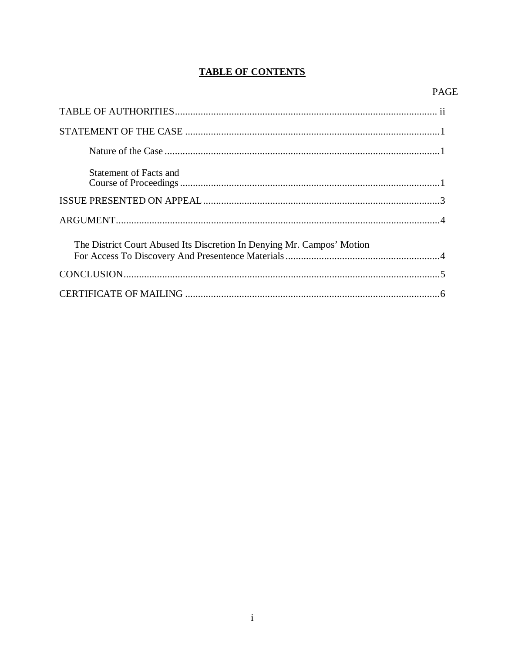### **TABLE OF CONTENTS**

### **PAGE**

| Statement of Facts and                                                 |  |
|------------------------------------------------------------------------|--|
|                                                                        |  |
|                                                                        |  |
| The District Court Abused Its Discretion In Denying Mr. Campos' Motion |  |
|                                                                        |  |
|                                                                        |  |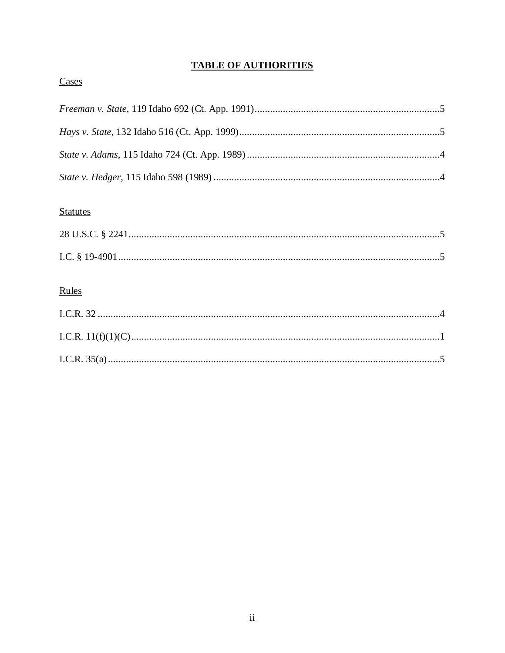## **TABLE OF AUTHORITIES**

# Cases

## **Statutes**

# Rules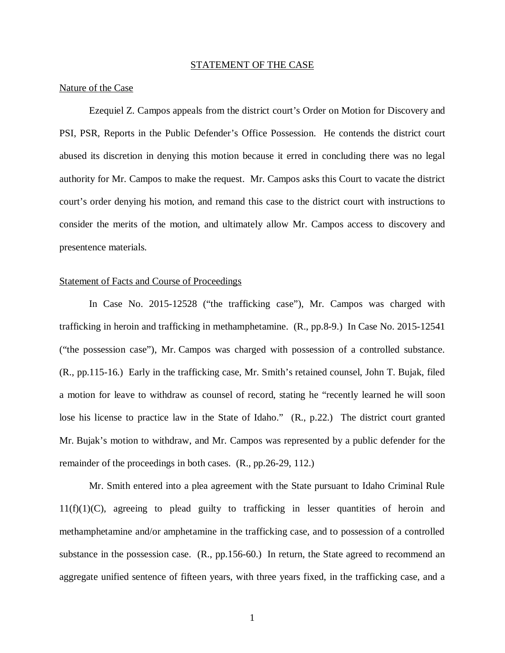#### STATEMENT OF THE CASE

#### Nature of the Case

Ezequiel Z. Campos appeals from the district court's Order on Motion for Discovery and PSI, PSR, Reports in the Public Defender's Office Possession. He contends the district court abused its discretion in denying this motion because it erred in concluding there was no legal authority for Mr. Campos to make the request. Mr. Campos asks this Court to vacate the district court's order denying his motion, and remand this case to the district court with instructions to consider the merits of the motion, and ultimately allow Mr. Campos access to discovery and presentence materials.

#### Statement of Facts and Course of Proceedings

In Case No. 2015-12528 ("the trafficking case"), Mr. Campos was charged with trafficking in heroin and trafficking in methamphetamine. (R., pp.8-9.) In Case No. 2015-12541 ("the possession case"), Mr. Campos was charged with possession of a controlled substance. (R., pp.115-16.) Early in the trafficking case, Mr. Smith's retained counsel, John T. Bujak, filed a motion for leave to withdraw as counsel of record, stating he "recently learned he will soon lose his license to practice law in the State of Idaho." (R., p.22.) The district court granted Mr. Bujak's motion to withdraw, and Mr. Campos was represented by a public defender for the remainder of the proceedings in both cases. (R., pp.26-29, 112.)

Mr. Smith entered into a plea agreement with the State pursuant to Idaho Criminal Rule  $11(f)(1)(C)$ , agreeing to plead guilty to trafficking in lesser quantities of heroin and methamphetamine and/or amphetamine in the trafficking case, and to possession of a controlled substance in the possession case. (R., pp.156-60.) In return, the State agreed to recommend an aggregate unified sentence of fifteen years, with three years fixed, in the trafficking case, and a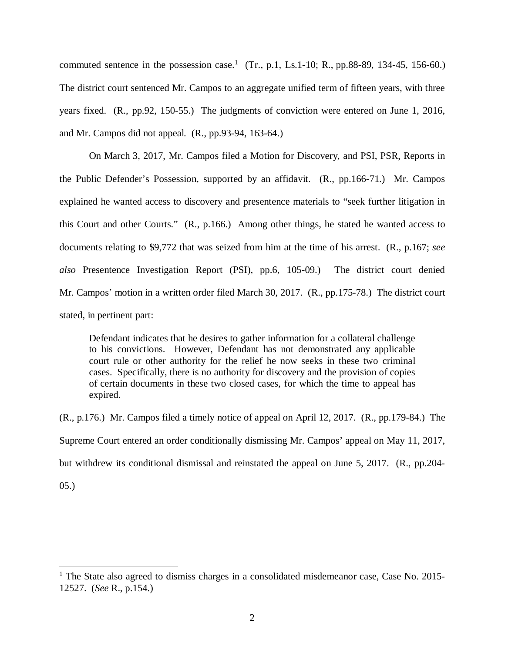commuted sentence in the possession case.<sup>[1](#page-5-0)</sup> (Tr., p.1, Ls.1-10; R., pp.88-89, 134-45, 156-60.) The district court sentenced Mr. Campos to an aggregate unified term of fifteen years, with three years fixed. (R., pp.92, 150-55.) The judgments of conviction were entered on June 1, 2016, and Mr. Campos did not appeal. (R., pp.93-94, 163-64.)

On March 3, 2017, Mr. Campos filed a Motion for Discovery, and PSI, PSR, Reports in the Public Defender's Possession, supported by an affidavit. (R., pp.166-71.) Mr. Campos explained he wanted access to discovery and presentence materials to "seek further litigation in this Court and other Courts." (R., p.166.) Among other things, he stated he wanted access to documents relating to \$9,772 that was seized from him at the time of his arrest. (R., p.167; *see also* Presentence Investigation Report (PSI), pp.6, 105-09.) The district court denied Mr. Campos' motion in a written order filed March 30, 2017. (R., pp.175-78.) The district court stated, in pertinent part:

Defendant indicates that he desires to gather information for a collateral challenge to his convictions. However, Defendant has not demonstrated any applicable court rule or other authority for the relief he now seeks in these two criminal cases. Specifically, there is no authority for discovery and the provision of copies of certain documents in these two closed cases, for which the time to appeal has expired.

(R., p.176.) Mr. Campos filed a timely notice of appeal on April 12, 2017. (R., pp.179-84.) The Supreme Court entered an order conditionally dismissing Mr. Campos' appeal on May 11, 2017, but withdrew its conditional dismissal and reinstated the appeal on June 5, 2017. (R., pp.204-

05.)

<span id="page-5-0"></span><sup>&</sup>lt;sup>1</sup> The State also agreed to dismiss charges in a consolidated misdemeanor case, Case No. 2015-12527. (*See* R., p.154.)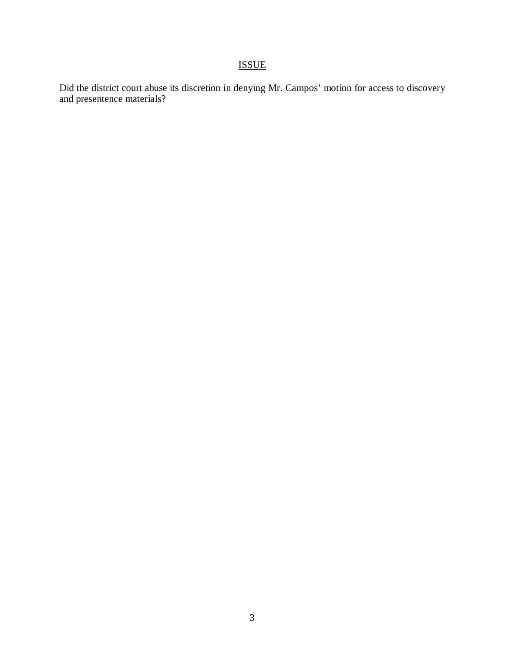# ISSUE

Did the district court abuse its discretion in denying Mr. Campos' motion for access to discovery and presentence materials?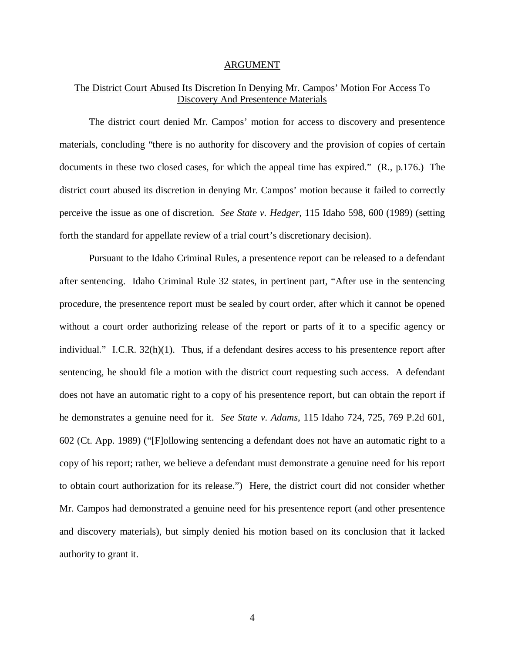#### ARGUMENT

### The District Court Abused Its Discretion In Denying Mr. Campos' Motion For Access To Discovery And Presentence Materials

The district court denied Mr. Campos' motion for access to discovery and presentence materials, concluding "there is no authority for discovery and the provision of copies of certain documents in these two closed cases, for which the appeal time has expired." (R., p.176.) The district court abused its discretion in denying Mr. Campos' motion because it failed to correctly perceive the issue as one of discretion. *See State v. Hedger*, 115 Idaho 598, 600 (1989) (setting forth the standard for appellate review of a trial court's discretionary decision).

Pursuant to the Idaho Criminal Rules, a presentence report can be released to a defendant after sentencing. Idaho Criminal Rule 32 states, in pertinent part, "After use in the sentencing procedure, the presentence report must be sealed by court order, after which it cannot be opened without a court order authorizing release of the report or parts of it to a specific agency or individual." I.C.R. 32(h)(1). Thus, if a defendant desires access to his presentence report after sentencing, he should file a motion with the district court requesting such access. A defendant does not have an automatic right to a copy of his presentence report, but can obtain the report if he demonstrates a genuine need for it. *See State v. Adams*, 115 Idaho 724, 725, 769 P.2d 601, 602 (Ct. App. 1989) ("[F]ollowing sentencing a defendant does not have an automatic right to a copy of his report; rather, we believe a defendant must demonstrate a genuine need for his report to obtain court authorization for its release.") Here, the district court did not consider whether Mr. Campos had demonstrated a genuine need for his presentence report (and other presentence and discovery materials), but simply denied his motion based on its conclusion that it lacked authority to grant it.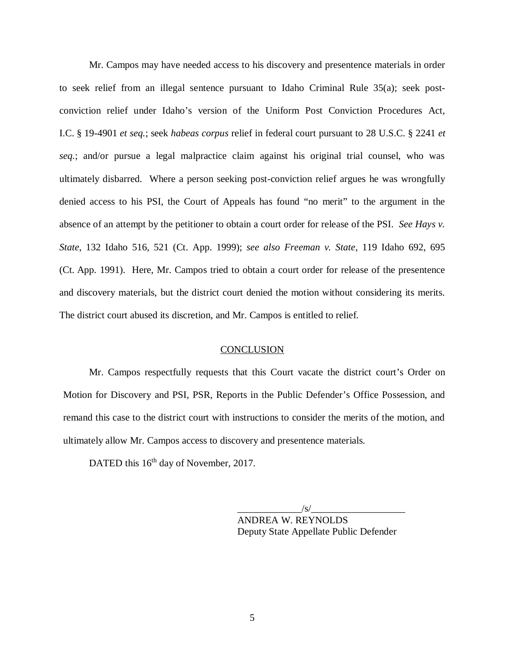Mr. Campos may have needed access to his discovery and presentence materials in order to seek relief from an illegal sentence pursuant to Idaho Criminal Rule 35(a); seek postconviction relief under Idaho's version of the Uniform Post Conviction Procedures Act, I.C. § 19-4901 *et seq.*; seek *habeas corpus* relief in federal court pursuant to 28 U.S.C. § 2241 *et seq.*; and/or pursue a legal malpractice claim against his original trial counsel, who was ultimately disbarred. Where a person seeking post-conviction relief argues he was wrongfully denied access to his PSI, the Court of Appeals has found "no merit" to the argument in the absence of an attempt by the petitioner to obtain a court order for release of the PSI. *See Hays v. State*, 132 Idaho 516, 521 (Ct. App. 1999); *see also Freeman v. State*, 119 Idaho 692, 695 (Ct. App. 1991). Here, Mr. Campos tried to obtain a court order for release of the presentence and discovery materials, but the district court denied the motion without considering its merits. The district court abused its discretion, and Mr. Campos is entitled to relief.

#### **CONCLUSION**

Mr. Campos respectfully requests that this Court vacate the district court's Order on Motion for Discovery and PSI, PSR, Reports in the Public Defender's Office Possession, and remand this case to the district court with instructions to consider the merits of the motion, and ultimately allow Mr. Campos access to discovery and presentence materials.

DATED this 16<sup>th</sup> day of November, 2017.

 $\frac{1}{s}$ ANDREA W. REYNOLDS Deputy State Appellate Public Defender